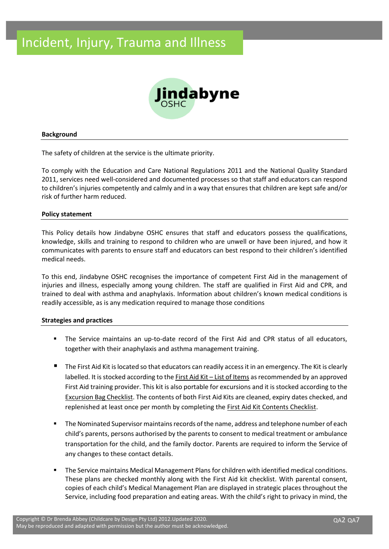

#### **Background**

The safety of children at the service is the ultimate priority.

To comply with the Education and Care National Regulations 2011 and the National Quality Standard 2011, services need well-considered and documented processes so that staff and educators can respond to children's injuries competently and calmly and in a way that ensures that children are kept safe and/or risk of further harm reduced.

#### **Policy statement**

This Policy details how Jindabyne OSHC ensures that staff and educators possess the qualifications, knowledge, skills and training to respond to children who are unwell or have been injured, and how it communicates with parents to ensure staff and educators can best respond to their children's identified medical needs.

To this end, Jindabyne OSHC recognises the importance of competent First Aid in the management of injuries and illness, especially among young children. The staff are qualified in First Aid and CPR, and trained to deal with asthma and anaphylaxis. Information about children's known medical conditions is readily accessible, as is any medication required to manage those conditions

#### **Strategies and practices**

- The Service maintains an up-to-date record of the First Aid and CPR status of all educators, together with their anaphylaxis and asthma management training.
- The First Aid Kit is located so that educators can readily access it in an emergency. The Kit is clearly labelled. It is stocked according to the First Aid Kit – List of Items as recommended by an approved First Aid training provider. This kit is also portable for excursions and it is stocked according to the Excursion Bag Checklist. The contents of both First Aid Kits are cleaned, expiry dates checked, and replenished at least once per month by completing the First Aid Kit Contents Checklist.
- The Nominated Supervisor maintains records of the name, address and telephone number of each child's parents, persons authorised by the parents to consent to medical treatment or ambulance transportation for the child, and the family doctor. Parents are required to inform the Service of any changes to these contact details.
- The Service maintains Medical Management Plans for children with identified medical conditions. These plans are checked monthly along with the First Aid kit checklist. With parental consent, copies of each child's Medical Management Plan are displayed in strategic places throughout the Service, including food preparation and eating areas. With the child's right to privacy in mind, the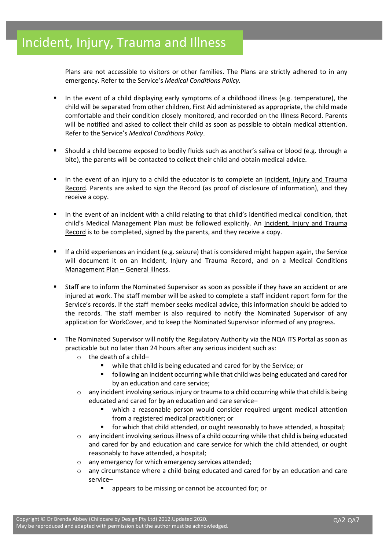Plans are not accessible to visitors or other families. The Plans are strictly adhered to in any emergency. Refer to the Service's *Medical Conditions Policy.*

- In the event of a child displaying early symptoms of a childhood illness (e.g. temperature), the child will be separated from other children, First Aid administered as appropriate, the child made comfortable and their condition closely monitored, and recorded on the Illness Record. Parents will be notified and asked to collect their child as soon as possible to obtain medical attention. Refer to the Service's *Medical Conditions Policy*.
- Should a child become exposed to bodily fluids such as another's saliva or blood (e.g. through a bite), the parents will be contacted to collect their child and obtain medical advice.
- In the event of an injury to a child the educator is to complete an Incident, Injury and Trauma Record. Parents are asked to sign the Record (as proof of disclosure of information), and they receive a copy.
- In the event of an incident with a child relating to that child's identified medical condition, that child's Medical Management Plan must be followed explicitly. An Incident, Injury and Trauma Record is to be completed, signed by the parents, and they receive a copy.
- If a child experiences an incident (e.g. seizure) that is considered might happen again, the Service will document it on an Incident, Injury and Trauma Record, and on a Medical Conditions Management Plan – General Illness.
- Staff are to inform the Nominated Supervisor as soon as possible if they have an accident or are injured at work. The staff member will be asked to complete a staff incident report form for the Service's records. If the staff member seeks medical advice, this information should be added to the records. The staff member is also required to notify the Nominated Supervisor of any application for WorkCover, and to keep the Nominated Supervisor informed of any progress.
- The Nominated Supervisor will notify the Regulatory Authority via the NQA ITS Portal as soon as practicable but no later than 24 hours after any serious incident such as:
	- o the death of a child–
		- while that child is being educated and cared for by the Service; or
		- following an incident occurring while that child was being educated and cared for by an education and care service;
	- o any incident involving serious injury or trauma to a child occurring while that child is being educated and cared for by an education and care service–
		- which a reasonable person would consider required urgent medical attention from a registered medical practitioner; or
		- for which that child attended, or ought reasonably to have attended, a hospital;
	- $\circ$  any incident involving serious illness of a child occurring while that child is being educated and cared for by and education and care service for which the child attended, or ought reasonably to have attended, a hospital;
	- o any emergency for which emergency services attended;
	- $\circ$  any circumstance where a child being educated and cared for by an education and care service–
		- appears to be missing or cannot be accounted for; or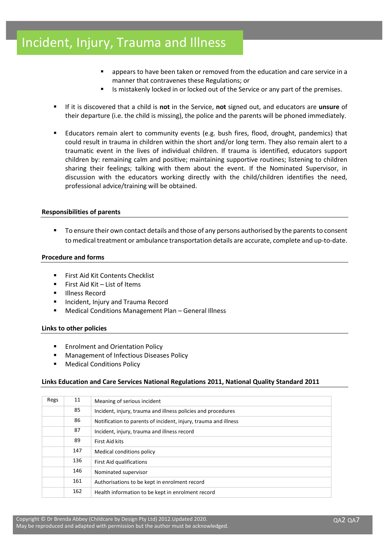- appears to have been taken or removed from the education and care service in a manner that contravenes these Regulations; or
- Is mistakenly locked in or locked out of the Service or any part of the premises.
- If it is discovered that a child is **not** in the Service, **not** signed out, and educators are **unsure** of their departure (i.e. the child is missing), the police and the parents will be phoned immediately.
- Educators remain alert to community events (e.g. bush fires, flood, drought, pandemics) that could result in trauma in children within the short and/or long term. They also remain alert to a traumatic event in the lives of individual children. If trauma is identified, educators support children by: remaining calm and positive; maintaining supportive routines; listening to children sharing their feelings; talking with them about the event. If the Nominated Supervisor, in discussion with the educators working directly with the child/children identifies the need, professional advice/training will be obtained.

#### **Responsibilities of parents**

To ensure their own contact details and those of any persons authorised by the parents to consent to medical treatment or ambulance transportation details are accurate, complete and up-to-date.

#### **Procedure and forms**

- First Aid Kit Contents Checklist
- $\blacksquare$  First Aid Kit List of Items
- **Illness Record**
- Incident, Injury and Trauma Record
- Medical Conditions Management Plan General Illness

## **Links to other policies**

- Enrolment and Orientation Policy
- Management of Infectious Diseases Policy
- **Medical Conditions Policy**

## **Links Education and Care Services National Regulations 2011, National Quality Standard 2011**

| Regs | 11  | Meaning of serious incident                                     |
|------|-----|-----------------------------------------------------------------|
|      | 85  | Incident, injury, trauma and illness policies and procedures    |
|      | 86  | Notification to parents of incident, injury, trauma and illness |
|      | 87  | Incident, injury, trauma and illness record                     |
|      | 89  | First Aid kits                                                  |
|      | 147 | Medical conditions policy                                       |
|      | 136 | First Aid qualifications                                        |
|      | 146 | Nominated supervisor                                            |
|      | 161 | Authorisations to be kept in enrolment record                   |
|      | 162 | Health information to be kept in enrolment record               |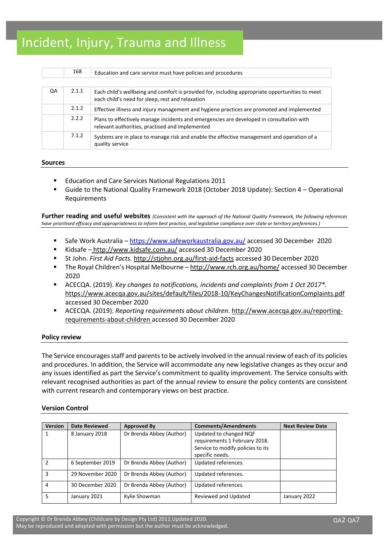|    | 168   | Education and care service must have policies and procedures                                                                                        |
|----|-------|-----------------------------------------------------------------------------------------------------------------------------------------------------|
|    |       |                                                                                                                                                     |
| QA | 2.1.1 | Each child's wellbeing and comfort is provided for, including appropriate opportunities to meet<br>each child's need for sleep, rest and relaxation |
|    | 2.1.2 | Effective illness and injury management and hygiene practices are promoted and implemented                                                          |
|    | 2.2.2 | Plans to effectively manage incidents and emergencies are developed in consultation with<br>relevant authorities, practised and implemented         |
|    | 7.1.2 | Systems are in place to manage risk and enable the effective management and operation of a<br>quality service                                       |

#### **Sources**

- Education and Care Services National Regulations 2011
- Guide to the National Quality Framework 2018 (October 2018 Update): Section 4 Operational Requirements

**Further reading and useful websites** *(Consistent with the approach of the National Quality Framework, the following references have prioritised efficacy and appropriateness to inform best practice, and legislative compliance over state or territory preferences.)*

- Safe Work Australia <https://www.safeworkaustralia.gov.au/> accessed 30 December 2020
- Kidsafe <http://www.kidsafe.com.au/> accessed 30 December 2020
- St John. *First Aid Facts.* <http://stjohn.org.au/first-aid-facts> accessed 30 December 2020
- The Royal Children's Hospital Melbourne <http://www.rch.org.au/home/> accessed 30 December 2020
- ACECQA. (2019). *Key changes to notifications, incidents and complaints from 1 Oct 2017\*.*  <https://www.acecqa.gov.au/sites/default/files/2018-10/KeyChangesNotificationComplaints.pdf> accessed 30 December 2020
- ACECQA. (2019). *Reporting requirements about children*[. http://www.acecqa.gov.au/reporting](http://www.acecqa.gov.au/reporting-requirements-about-children)[requirements-about-children](http://www.acecqa.gov.au/reporting-requirements-about-children) accessed 30 December 2020

#### **Policy review**

The Service encourages staff and parents to be actively involved in the annual review of each of its policies and procedures. In addition, the Service will accommodate any new legislative changes as they occur and any issues identified as part the Service's commitment to quality improvement. The Service consults with relevant recognised authorities as part of the annual review to ensure the policy contents are consistent with current research and contemporary views on best practice.

## **Version Control**

| <b>Version</b> | <b>Date Reviewed</b> | <b>Approved By</b>       | <b>Comments/Amendments</b>        | <b>Next Review Date</b> |
|----------------|----------------------|--------------------------|-----------------------------------|-------------------------|
|                | 8 January 2018       | Dr Brenda Abbey (Author) | Updated to changed NQF            |                         |
|                |                      |                          | requirements 1 February 2018.     |                         |
|                |                      |                          | Service to modify policies to its |                         |
|                |                      |                          | specific needs.                   |                         |
| $\mathfrak z$  | 6 September 2019     | Dr Brenda Abbey (Author) | Updated references.               |                         |
| 3              | 29 November 2020     | Dr Brenda Abbey (Author) | Updated references.               |                         |
| 4              | 30 December 2020     | Dr Brenda Abbey (Author) | Updated references.               |                         |
| 5              | January 2021         | Kylie Showman            | Reviewed and Updated              | January 2022            |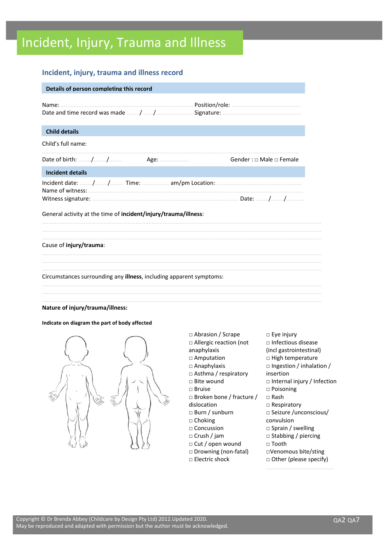## **Incident, injury, trauma and illness record**

| Details of person completing this record                                    |                                   |
|-----------------------------------------------------------------------------|-----------------------------------|
|                                                                             |                                   |
| <b>Child details</b>                                                        |                                   |
| Child's full name:                                                          |                                   |
|                                                                             | Gender: $\Box$ Male $\Box$ Female |
| <b>Incident details</b>                                                     |                                   |
| General activity at the time of incident/injury/trauma/illness:             |                                   |
| Cause of injury/trauma:                                                     |                                   |
| Circumstances surrounding any <b>illness</b> , including apparent symptoms: |                                   |
| Nature of injury/trauma/illness:                                            |                                   |

#### **Indicate on diagram the part of body affected**



□ Abrasion / Scrape □ Allergic reaction (not anaphylaxis □ Amputation □ Anaphylaxis □ Asthma / respiratory □ Bite wound □ Bruise □ Broken bone / fracture / dislocation □ Burn / sunburn □ Choking □ Concussion □ Crush / jam □ Cut / open wound □ Drowning (non-fatal) □ Electric shock □ Eye injury □ Infectious disease (incl gastrointestinal) □ High temperature □ Ingestion / inhalation / insertion □ Internal injury / Infection □ Poisoning □ Rash □ Respiratory □ Seizure /unconscious/ convulsion □ Sprain / swelling □ Stabbing / piercing □ Tooth □Venomous bite/sting □ Other (please specify) ..........................................